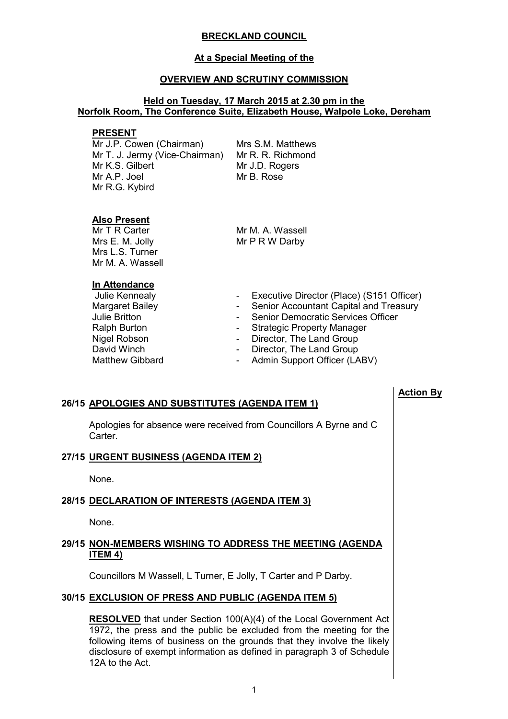# **BRECKLAND COUNCIL**

#### **At a Special Meeting of the**

#### **OVERVIEW AND SCRUTINY COMMISSION**

# **Held on Tuesday, 17 March 2015 at 2.30 pm in the Norfolk Room, The Conference Suite, Elizabeth House, Walpole Loke, Dereham**

#### **PRESENT**

Mr J.P. Cowen (Chairman) Mr T. J. Jermy (Vice-Chairman) Mr R. R. Richmond Mr K.S. Gilbert Mr A.P. Joel Mr R.G. Kybird

Mrs S.M. Matthews Mr J.D. Rogers Mr B. Rose

# **Also Present**

Mr T R Carter Mrs E. M. Jolly Mrs L.S. Turner Mr M. A. Wassell

Mr M. A. Wassell Mr P R W Darby

#### **In Attendance**

- David Winch<br>
Matthew Gibbard<br>
Matthew Gibbard<br>
Compared Admin Support Officer (LA
- Julie Kennealy  **Executive Director (Place) (S151 Officer)**

**Action By**

- Margaret Bailey **Accountant Capital and Treasury -** Senior Accountant Capital and Treasury
- Julie Britton  **Senior Democratic Services Officer**
- Ralph Burton  **Strategic Property Manager**
- Nigel Robson  **Director**, The Land Group
	-
	- Admin Support Officer (LABV)

# **26/15 APOLOGIES AND SUBSTITUTES (AGENDA ITEM 1)**

 Apologies for absence were received from Councillors A Byrne and C **Carter** 

# **27/15 URGENT BUSINESS (AGENDA ITEM 2)**

None.

# **28/15 DECLARATION OF INTERESTS (AGENDA ITEM 3)**

None.

# **29/15 NON-MEMBERS WISHING TO ADDRESS THE MEETING (AGENDA ITEM 4)**

Councillors M Wassell, L Turner, E Jolly, T Carter and P Darby.

#### **30/15 EXCLUSION OF PRESS AND PUBLIC (AGENDA ITEM 5)**

**RESOLVED** that under Section 100(A)(4) of the Local Government Act 1972, the press and the public be excluded from the meeting for the following items of business on the grounds that they involve the likely disclosure of exempt information as defined in paragraph 3 of Schedule 12A to the Act.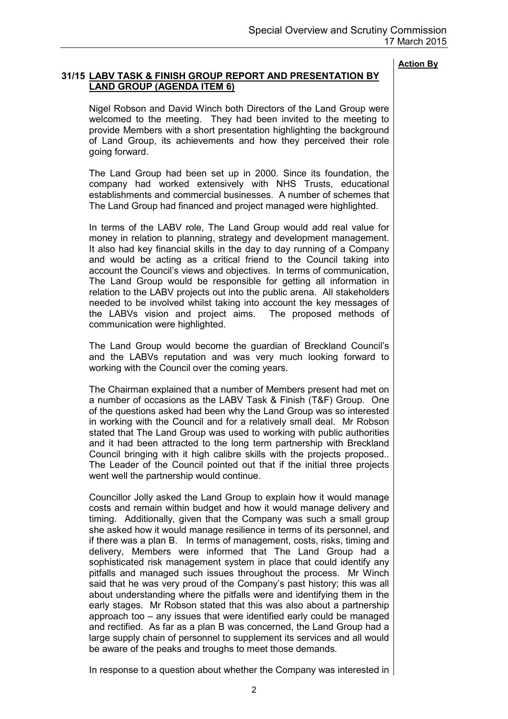#### **31/15 LABV TASK & FINISH GROUP REPORT AND PRESENTATION BY LAND GROUP (AGENDA ITEM 6)**

 Nigel Robson and David Winch both Directors of the Land Group were welcomed to the meeting. They had been invited to the meeting to provide Members with a short presentation highlighting the background of Land Group, its achievements and how they perceived their role going forward.

The Land Group had been set up in 2000. Since its foundation, the company had worked extensively with NHS Trusts, educational establishments and commercial businesses. A number of schemes that The Land Group had financed and project managed were highlighted.

In terms of the LABV role, The Land Group would add real value for money in relation to planning, strategy and development management. It also had key financial skills in the day to day running of a Company and would be acting as a critical friend to the Council taking into account the Council's views and objectives. In terms of communication, The Land Group would be responsible for getting all information in relation to the LABV projects out into the public arena. All stakeholders needed to be involved whilst taking into account the key messages of the LABVs vision and project aims. The proposed methods of communication were highlighted.

The Land Group would become the guardian of Breckland Council's and the LABVs reputation and was very much looking forward to working with the Council over the coming years.

The Chairman explained that a number of Members present had met on a number of occasions as the LABV Task & Finish (T&F) Group. One of the questions asked had been why the Land Group was so interested in working with the Council and for a relatively small deal. Mr Robson stated that The Land Group was used to working with public authorities and it had been attracted to the long term partnership with Breckland Council bringing with it high calibre skills with the projects proposed.. The Leader of the Council pointed out that if the initial three projects went well the partnership would continue.

Councillor Jolly asked the Land Group to explain how it would manage costs and remain within budget and how it would manage delivery and timing. Additionally, given that the Company was such a small group she asked how it would manage resilience in terms of its personnel, and if there was a plan B. In terms of management, costs, risks, timing and delivery, Members were informed that The Land Group had a sophisticated risk management system in place that could identify any pitfalls and managed such issues throughout the process. Mr Winch said that he was very proud of the Company's past history; this was all about understanding where the pitfalls were and identifying them in the early stages. Mr Robson stated that this was also about a partnership approach too – any issues that were identified early could be managed and rectified. As far as a plan B was concerned, the Land Group had a large supply chain of personnel to supplement its services and all would be aware of the peaks and troughs to meet those demands.

In response to a question about whether the Company was interested in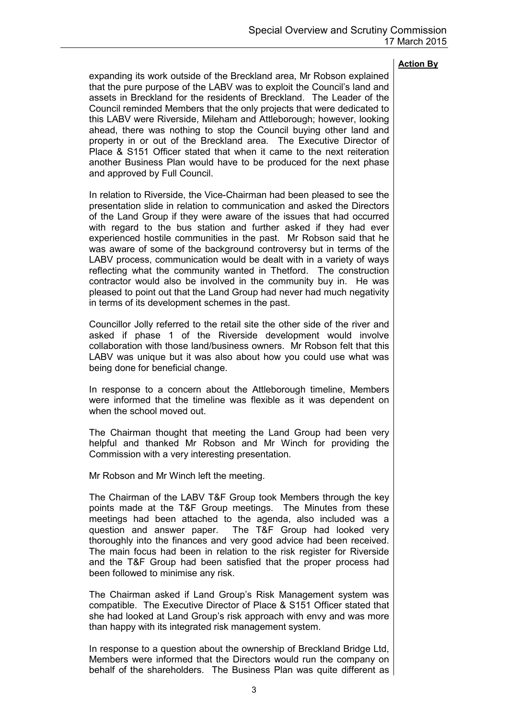expanding its work outside of the Breckland area, Mr Robson explained that the pure purpose of the LABV was to exploit the Council's land and assets in Breckland for the residents of Breckland. The Leader of the Council reminded Members that the only projects that were dedicated to this LABV were Riverside, Mileham and Attleborough; however, looking ahead, there was nothing to stop the Council buying other land and property in or out of the Breckland area. The Executive Director of Place & S151 Officer stated that when it came to the next reiteration another Business Plan would have to be produced for the next phase and approved by Full Council.

In relation to Riverside, the Vice-Chairman had been pleased to see the presentation slide in relation to communication and asked the Directors of the Land Group if they were aware of the issues that had occurred with regard to the bus station and further asked if they had ever experienced hostile communities in the past. Mr Robson said that he was aware of some of the background controversy but in terms of the LABV process, communication would be dealt with in a variety of ways reflecting what the community wanted in Thetford. The construction contractor would also be involved in the community buy in. He was pleased to point out that the Land Group had never had much negativity in terms of its development schemes in the past.

Councillor Jolly referred to the retail site the other side of the river and asked if phase 1 of the Riverside development would involve collaboration with those land/business owners. Mr Robson felt that this LABV was unique but it was also about how you could use what was being done for beneficial change.

In response to a concern about the Attleborough timeline, Members were informed that the timeline was flexible as it was dependent on when the school moved out.

The Chairman thought that meeting the Land Group had been very helpful and thanked Mr Robson and Mr Winch for providing the Commission with a very interesting presentation.

Mr Robson and Mr Winch left the meeting.

The Chairman of the LABV T&F Group took Members through the key points made at the T&F Group meetings. The Minutes from these meetings had been attached to the agenda, also included was a question and answer paper. The T&F Group had looked very thoroughly into the finances and very good advice had been received. The main focus had been in relation to the risk register for Riverside and the T&F Group had been satisfied that the proper process had been followed to minimise any risk.

The Chairman asked if Land Group's Risk Management system was compatible. The Executive Director of Place & S151 Officer stated that she had looked at Land Group's risk approach with envy and was more than happy with its integrated risk management system.

In response to a question about the ownership of Breckland Bridge Ltd, Members were informed that the Directors would run the company on behalf of the shareholders. The Business Plan was quite different as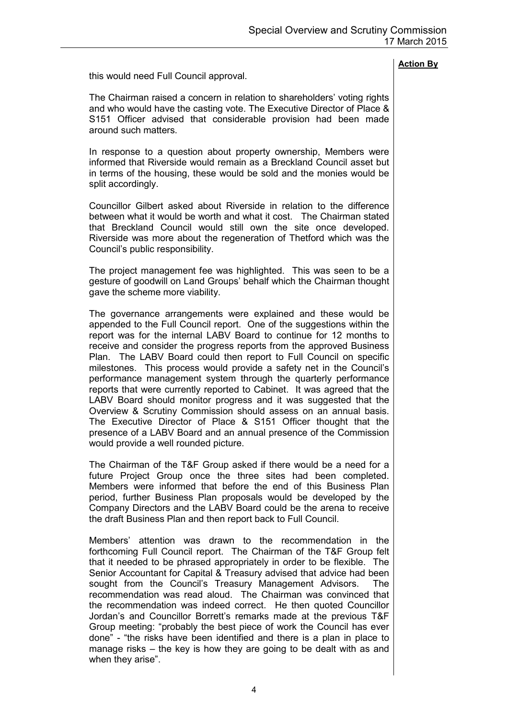this would need Full Council approval.

The Chairman raised a concern in relation to shareholders' voting rights and who would have the casting vote. The Executive Director of Place & S151 Officer advised that considerable provision had been made around such matters.

In response to a question about property ownership, Members were informed that Riverside would remain as a Breckland Council asset but in terms of the housing, these would be sold and the monies would be split accordingly.

Councillor Gilbert asked about Riverside in relation to the difference between what it would be worth and what it cost. The Chairman stated that Breckland Council would still own the site once developed. Riverside was more about the regeneration of Thetford which was the Council's public responsibility.

The project management fee was highlighted. This was seen to be a gesture of goodwill on Land Groups' behalf which the Chairman thought gave the scheme more viability.

The governance arrangements were explained and these would be appended to the Full Council report. One of the suggestions within the report was for the internal LABV Board to continue for 12 months to receive and consider the progress reports from the approved Business Plan. The LABV Board could then report to Full Council on specific milestones. This process would provide a safety net in the Council's performance management system through the quarterly performance reports that were currently reported to Cabinet. It was agreed that the LABV Board should monitor progress and it was suggested that the Overview & Scrutiny Commission should assess on an annual basis. The Executive Director of Place & S151 Officer thought that the presence of a LABV Board and an annual presence of the Commission would provide a well rounded picture.

The Chairman of the T&F Group asked if there would be a need for a future Project Group once the three sites had been completed. Members were informed that before the end of this Business Plan period, further Business Plan proposals would be developed by the Company Directors and the LABV Board could be the arena to receive the draft Business Plan and then report back to Full Council.

Members' attention was drawn to the recommendation in the forthcoming Full Council report. The Chairman of the T&F Group felt that it needed to be phrased appropriately in order to be flexible. The Senior Accountant for Capital & Treasury advised that advice had been sought from the Council's Treasury Management Advisors. The recommendation was read aloud. The Chairman was convinced that the recommendation was indeed correct. He then quoted Councillor Jordan's and Councillor Borrett's remarks made at the previous T&F Group meeting: "probably the best piece of work the Council has ever done" - "the risks have been identified and there is a plan in place to manage risks – the key is how they are going to be dealt with as and when they arise".